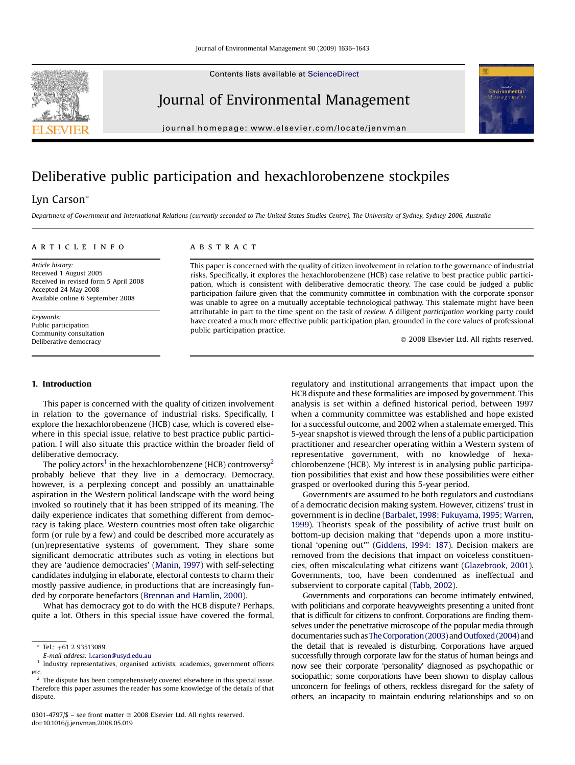Contents lists available at [ScienceDirect](www.sciencedirect.com/science/journal/03014797)

## Journal of Environmental Management

journal homepage: [www.elsevier.com/locate/jenvman](http://www.elsevier.com/locate/jenvman)

# Deliberative public participation and hexachlorobenzene stockpiles

### Lyn Carson\*

Department of Government and International Relations (currently seconded to The United States Studies Centre), The University of Sydney, Sydney 2006, Australia

#### article info

Article history: Received 1 August 2005 Received in revised form 5 April 2008 Accepted 24 May 2008 Available online 6 September 2008

Keywords: Public participation Community consultation Deliberative democracy

#### **ABSTRACT**

This paper is concerned with the quality of citizen involvement in relation to the governance of industrial risks. Specifically, it explores the hexachlorobenzene (HCB) case relative to best practice public participation, which is consistent with deliberative democratic theory. The case could be judged a public participation failure given that the community committee in combination with the corporate sponsor was unable to agree on a mutually acceptable technological pathway. This stalemate might have been attributable in part to the time spent on the task of review. A diligent participation working party could have created a much more effective public participation plan, grounded in the core values of professional public participation practice.

- 2008 Elsevier Ltd. All rights reserved.

#### 1. Introduction

This paper is concerned with the quality of citizen involvement in relation to the governance of industrial risks. Specifically, I explore the hexachlorobenzene (HCB) case, which is covered elsewhere in this special issue, relative to best practice public participation. I will also situate this practice within the broader field of deliberative democracy.

The policy actors<sup>1</sup> in the hexachlorobenzene (HCB) controversy<sup>2</sup> probably believe that they live in a democracy. Democracy, however, is a perplexing concept and possibly an unattainable aspiration in the Western political landscape with the word being invoked so routinely that it has been stripped of its meaning. The daily experience indicates that something different from democracy is taking place. Western countries most often take oligarchic form (or rule by a few) and could be described more accurately as (un)representative systems of government. They share some significant democratic attributes such as voting in elections but they are 'audience democracies' ([Manin, 1997\)](#page-7-0) with self-selecting candidates indulging in elaborate, electoral contests to charm their mostly passive audience, in productions that are increasingly funded by corporate benefactors ([Brennan and Hamlin, 2000](#page-7-0)).

What has democracy got to do with the HCB dispute? Perhaps, quite a lot. Others in this special issue have covered the formal,

0301-4797/\$ – see front matter © 2008 Elsevier Ltd. All rights reserved. doi:10.1016/j.jenvman.2008.05.019

regulatory and institutional arrangements that impact upon the HCB dispute and these formalities are imposed by government. This analysis is set within a defined historical period, between 1997 when a community committee was established and hope existed for a successful outcome, and 2002 when a stalemate emerged. This 5-year snapshot is viewed through the lens of a public participation practitioner and researcher operating within a Western system of representative government, with no knowledge of hexachlorobenzene (HCB). My interest is in analysing public participation possibilities that exist and how these possibilities were either grasped or overlooked during this 5-year period.

Governments are assumed to be both regulators and custodians of a democratic decision making system. However, citizens' trust in government is in decline [\(Barbalet, 1998; Fukuyama, 1995; Warren,](#page-7-0) [1999](#page-7-0)). Theorists speak of the possibility of active trust built on bottom-up decision making that ''depends upon a more institutional 'opening out''' [\(Giddens, 1994: 187](#page-7-0)). Decision makers are removed from the decisions that impact on voiceless constituencies, often miscalculating what citizens want [\(Glazebrook, 2001\)](#page-7-0). Governments, too, have been condemned as ineffectual and subservient to corporate capital [\(Tabb, 2002\)](#page-7-0).

Governments and corporations can become intimately entwined, with politicians and corporate heavyweights presenting a united front that is difficult for citizens to confront. Corporations are finding themselves under the penetrative microscope of the popular media through documentaries such as [The Corporation \(2003\)](#page-7-0) and [Outfoxed \(2004\)](#page-7-0) and the detail that is revealed is disturbing. Corporations have argued successfully through corporate law for the status of human beings and now see their corporate 'personality' diagnosed as psychopathic or sociopathic; some corporations have been shown to display callous unconcern for feelings of others, reckless disregard for the safety of others, an incapacity to maintain enduring relationships and so on





 $*$  Tel.:  $+61$  2 93513089.

E-mail address: [l.carson@usyd.edu.au](mailto:l.carson@usyd.edu.au)

<sup>&</sup>lt;sup>1</sup> Industry representatives, organised activists, academics, government officers

etc. <sup>2</sup> The dispute has been comprehensively covered elsewhere in this special issue. Therefore this paper assumes the reader has some knowledge of the details of that dispute.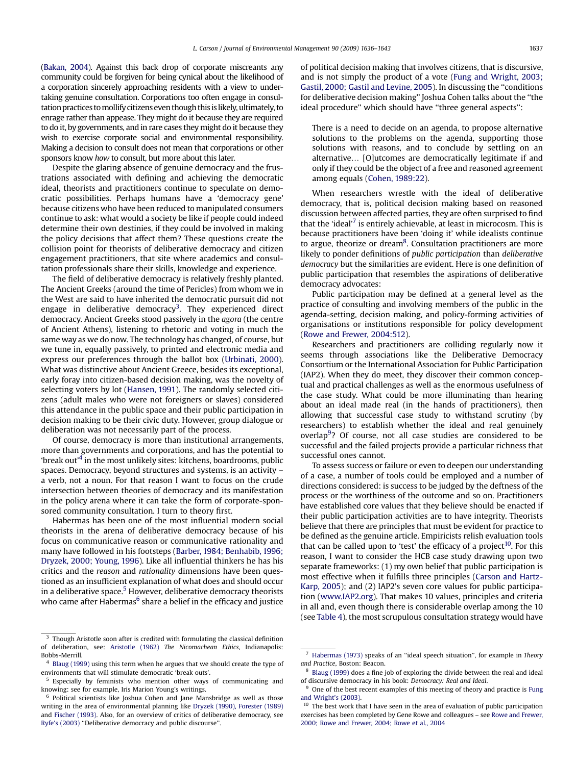[\(Bakan, 2004](#page-7-0)). Against this back drop of corporate miscreants any community could be forgiven for being cynical about the likelihood of a corporation sincerely approaching residents with a view to undertaking genuine consultation. Corporations too often engage in consultation practices to mollify citizens even though this is likely, ultimately, to enrage rather than appease. They might do it because they are required to do it, by governments, and in rare cases they might do it because they wish to exercise corporate social and environmental responsibility. Making a decision to consult does not mean that corporations or other sponsors know how to consult, but more about this later.

Despite the glaring absence of genuine democracy and the frustrations associated with defining and achieving the democratic ideal, theorists and practitioners continue to speculate on democratic possibilities. Perhaps humans have a 'democracy gene' because citizens who have been reduced to manipulated consumers continue to ask: what would a society be like if people could indeed determine their own destinies, if they could be involved in making the policy decisions that affect them? These questions create the collision point for theorists of deliberative democracy and citizen engagement practitioners, that site where academics and consultation professionals share their skills, knowledge and experience.

The field of deliberative democracy is relatively freshly planted. The Ancient Greeks (around the time of Pericles) from whom we in the West are said to have inherited the democratic pursuit did not engage in deliberative democracy<sup>3</sup>. They experienced direct democracy. Ancient Greeks stood passively in the agora (the centre of Ancient Athens), listening to rhetoric and voting in much the same way as we do now. The technology has changed, of course, but we tune in, equally passively, to printed and electronic media and express our preferences through the ballot box ([Urbinati, 2000\)](#page-7-0). What was distinctive about Ancient Greece, besides its exceptional, early foray into citizen-based decision making, was the novelty of selecting voters by lot ([Hansen, 1991](#page-7-0)). The randomly selected citizens (adult males who were not foreigners or slaves) considered this attendance in the public space and their public participation in decision making to be their civic duty. However, group dialogue or deliberation was not necessarily part of the process.

Of course, democracy is more than institutional arrangements, more than governments and corporations, and has the potential to 'break out'4 in the most unlikely sites: kitchens, boardrooms, public spaces. Democracy, beyond structures and systems, is an activity – a verb, not a noun. For that reason I want to focus on the crude intersection between theories of democracy and its manifestation in the policy arena where it can take the form of corporate-sponsored community consultation. I turn to theory first.

Habermas has been one of the most influential modern social theorists in the arena of deliberative democracy because of his focus on communicative reason or communicative rationality and many have followed in his footsteps [\(Barber, 1984; Benhabib, 1996;](#page-7-0) [Dryzek, 2000; Young, 1996](#page-7-0)). Like all influential thinkers he has his critics and the reason and rationality dimensions have been questioned as an insufficient explanation of what does and should occur in a deliberative space.<sup>5</sup> However, deliberative democracy theorists who came after Habermas $<sup>6</sup>$  share a belief in the efficacy and justice</sup> of political decision making that involves citizens, that is discursive, and is not simply the product of a vote ([Fung and Wright, 2003;](#page-7-0) [Gastil, 2000; Gastil and Levine, 2005\)](#page-7-0). In discussing the ''conditions for deliberative decision making'' Joshua Cohen talks about the ''the ideal procedure" which should have "three general aspects":

There is a need to decide on an agenda, to propose alternative solutions to the problems on the agenda, supporting those solutions with reasons, and to conclude by settling on an alternative... [O]utcomes are democratically legitimate if and only if they could be the object of a free and reasoned agreement among equals [\(Cohen, 1989:22\)](#page-7-0).

When researchers wrestle with the ideal of deliberative democracy, that is, political decision making based on reasoned discussion between affected parties, they are often surprised to find that the 'ideal' $'$  is entirely achievable, at least in microcosm. This is because practitioners have been 'doing it' while idealists continue to argue, theorize or dream $^8$ . Consultation practitioners are more likely to ponder definitions of public participation than deliberative democracy but the similarities are evident. Here is one definition of public participation that resembles the aspirations of deliberative democracy advocates:

Public participation may be defined at a general level as the practice of consulting and involving members of the public in the agenda-setting, decision making, and policy-forming activities of organisations or institutions responsible for policy development ([Rowe and Frewer, 2004:512](#page-7-0)).

Researchers and practitioners are colliding regularly now it seems through associations like the Deliberative Democracy Consortium or the International Association for Public Participation (IAP2). When they do meet, they discover their common conceptual and practical challenges as well as the enormous usefulness of the case study. What could be more illuminating than hearing about an ideal made real (in the hands of practitioners), then allowing that successful case study to withstand scrutiny (by researchers) to establish whether the ideal and real genuinely overlap<sup>9</sup>? Of course, not all case studies are considered to be successful and the failed projects provide a particular richness that successful ones cannot.

To assess success or failure or even to deepen our understanding of a case, a number of tools could be employed and a number of directions considered: is success to be judged by the deftness of the process or the worthiness of the outcome and so on. Practitioners have established core values that they believe should be enacted if their public participation activities are to have integrity. Theorists believe that there are principles that must be evident for practice to be defined as the genuine article. Empiricists relish evaluation tools that can be called upon to 'test' the efficacy of a project $10$ . For this reason, I want to consider the HCB case study drawing upon two separate frameworks: (1) my own belief that public participation is most effective when it fulfills three principles ([Carson and Hartz-](#page-7-0)[Karp, 2005](#page-7-0)); and (2) IAP2's seven core values for public participation [\(www.IAP2.org\)](http://www.IAP2.org). That makes 10 values, principles and criteria in all and, even though there is considerable overlap among the 10 (see [Table 4\)](#page-5-0), the most scrupulous consultation strategy would have

Though Aristotle soon after is credited with formulating the classical definition of deliberation, see: [Aristotle \(1962\)](#page-7-0) The Nicomachean Ethics, Indianapolis: Bobbs-Merrill.

<sup>&</sup>lt;sup>4</sup> [Blaug \(1999\)](#page-7-0) using this term when he argues that we should create the type of environments that will stimulate democratic 'break outs'.

<sup>&</sup>lt;sup>5</sup> Especially by feminists who mention other ways of communicating and knowing: see for example, Iris Marion Young's writings.

Political scientists like Joshua Cohen and Jane Mansbridge as well as those writing in the area of environmental planning like [Dryzek \(1990\), Forester \(1989\)](#page-7-0) and [Fischer \(1993\).](#page-7-0) Also, for an overview of critics of deliberative democracy, see [Ryfe's \(2003\)](#page-7-0) ''Deliberative democracy and public discourse''.

 $7$  [Habermas \(1973\)](#page-7-0) speaks of an "ideal speech situation", for example in Theory and Practice, Boston: Beacon.

<sup>8</sup> [Blaug \(1999\)](#page-7-0) does a fine job of exploring the divide between the real and ideal of discursive democracy in his book: Democracy: Real and Ideal.

One of the best recent examples of this meeting of theory and practice is [Fung](#page-7-0) [and Wright's \(2003\)](#page-7-0).

 $10$  The best work that I have seen in the area of evaluation of public participation exercises has been completed by Gene Rowe and colleagues – see [Rowe and Frewer,](#page-7-0) [2000; Rowe and Frewer, 2004; Rowe et al., 2004](#page-7-0)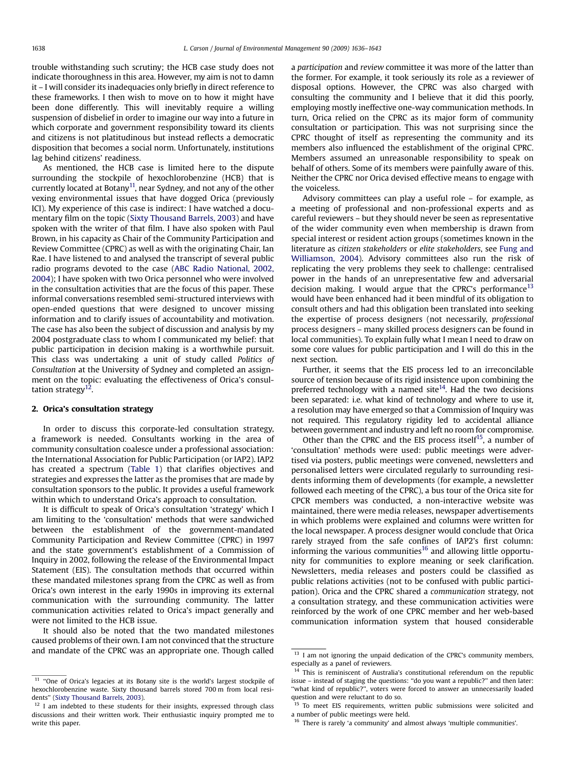trouble withstanding such scrutiny; the HCB case study does not indicate thoroughness in this area. However, my aim is not to damn it – I will consider its inadequacies only briefly in direct reference to these frameworks. I then wish to move on to how it might have been done differently. This will inevitably require a willing suspension of disbelief in order to imagine our way into a future in which corporate and government responsibility toward its clients and citizens is not platitudinous but instead reflects a democratic disposition that becomes a social norm. Unfortunately, institutions lag behind citizens' readiness.

As mentioned, the HCB case is limited here to the dispute surrounding the stockpile of hexochlorobenzine (HCB) that is currently located at Botany<sup>11</sup>, near Sydney, and not any of the other vexing environmental issues that have dogged Orica (previously ICI). My experience of this case is indirect: I have watched a documentary film on the topic ([Sixty Thousand Barrels, 2003\)](#page-7-0) and have spoken with the writer of that film. I have also spoken with Paul Brown, in his capacity as Chair of the Community Participation and Review Committee (CPRC) as well as with the originating Chair, Ian Rae. I have listened to and analysed the transcript of several public radio programs devoted to the case ([ABC Radio National, 2002,](#page-7-0) [2004](#page-7-0)); I have spoken with two Orica personnel who were involved in the consultation activities that are the focus of this paper. These informal conversations resembled semi-structured interviews with open-ended questions that were designed to uncover missing information and to clarify issues of accountability and motivation. The case has also been the subject of discussion and analysis by my 2004 postgraduate class to whom I communicated my belief: that public participation in decision making is a worthwhile pursuit. This class was undertaking a unit of study called Politics of Consultation at the University of Sydney and completed an assignment on the topic: evaluating the effectiveness of Orica's consultation strategy $12$ .

#### 2. Orica's consultation strategy

In order to discuss this corporate-led consultation strategy, a framework is needed. Consultants working in the area of community consultation coalesce under a professional association: the International Association for Public Participation (or IAP2). IAP2 has created a spectrum ([Table 1](#page-3-0)) that clarifies objectives and strategies and expresses the latter as the promises that are made by consultation sponsors to the public. It provides a useful framework within which to understand Orica's approach to consultation.

It is difficult to speak of Orica's consultation 'strategy' which I am limiting to the 'consultation' methods that were sandwiched between the establishment of the government-mandated Community Participation and Review Committee (CPRC) in 1997 and the state government's establishment of a Commission of Inquiry in 2002, following the release of the Environmental Impact Statement (EIS). The consultation methods that occurred within these mandated milestones sprang from the CPRC as well as from Orica's own interest in the early 1990s in improving its external communication with the surrounding community. The latter communication activities related to Orica's impact generally and were not limited to the HCB issue.

It should also be noted that the two mandated milestones caused problems of their own. I am not convinced that the structure and mandate of the CPRC was an appropriate one. Though called a participation and review committee it was more of the latter than the former. For example, it took seriously its role as a reviewer of disposal options. However, the CPRC was also charged with consulting the community and I believe that it did this poorly, employing mostly ineffective one-way communication methods. In turn, Orica relied on the CPRC as its major form of community consultation or participation. This was not surprising since the CPRC thought of itself as representing the community and its members also influenced the establishment of the original CPRC. Members assumed an unreasonable responsibility to speak on behalf of others. Some of its members were painfully aware of this. Neither the CPRC nor Orica devised effective means to engage with the voiceless.

Advisory committees can play a useful role – for example, as a meeting of professional and non-professional experts and as careful reviewers – but they should never be seen as representative of the wider community even when membership is drawn from special interest or resident action groups (sometimes known in the literature as citizen stakeholders or elite stakeholders, see [Fung and](#page-7-0) [Williamson, 2004\)](#page-7-0). Advisory committees also run the risk of replicating the very problems they seek to challenge: centralised power in the hands of an unrepresentative few and adversarial decision making. I would argue that the CPRC's performance<sup>13</sup> would have been enhanced had it been mindful of its obligation to consult others and had this obligation been translated into seeking the expertise of process designers (not necessarily, professional process designers – many skilled process designers can be found in local communities). To explain fully what I mean I need to draw on some core values for public participation and I will do this in the next section.

Further, it seems that the EIS process led to an irreconcilable source of tension because of its rigid insistence upon combining the preferred technology with a named site $14$ . Had the two decisions been separated: i.e. what kind of technology and where to use it, a resolution may have emerged so that a Commission of Inquiry was not required. This regulatory rigidity led to accidental alliance between government and industry and left no room for compromise.

Other than the CPRC and the EIS process itself $15$ , a number of 'consultation' methods were used: public meetings were advertised via posters, public meetings were convened, newsletters and personalised letters were circulated regularly to surrounding residents informing them of developments (for example, a newsletter followed each meeting of the CPRC), a bus tour of the Orica site for CPCR members was conducted, a non-interactive website was maintained, there were media releases, newspaper advertisements in which problems were explained and columns were written for the local newspaper. A process designer would conclude that Orica rarely strayed from the safe confines of IAP2's first column: informing the various communities $16$  and allowing little opportunity for communities to explore meaning or seek clarification. Newsletters, media releases and posters could be classified as public relations activities (not to be confused with public participation). Orica and the CPRC shared a communication strategy, not a consultation strategy, and these communication activities were reinforced by the work of one CPRC member and her web-based communication information system that housed considerable

 $11$  "One of Orica's legacies at its Botany site is the world's largest stockpile of hexochlorobenzine waste. Sixty thousand barrels stored 700 m from local residents'' [\(Sixty Thousand Barrels, 2003](#page-7-0)).

 $12$  I am indebted to these students for their insights, expressed through class discussions and their written work. Their enthusiastic inquiry prompted me to write this paper.

<sup>&</sup>lt;sup>13</sup> I am not ignoring the unpaid dedication of the CPRC's community members, especially as a panel of reviewers.

This is reminiscent of Australia's constitutional referendum on the republic issue – instead of staging the questions: ''do you want a republic?'' and then later: ''what kind of republic?'', voters were forced to answer an unnecessarily loaded question and were reluctant to do so.

<sup>&</sup>lt;sup>15</sup> To meet EIS requirements, written public submissions were solicited and a number of public meetings were held.

<sup>16</sup> There is rarely 'a community' and almost always 'multiple communities'.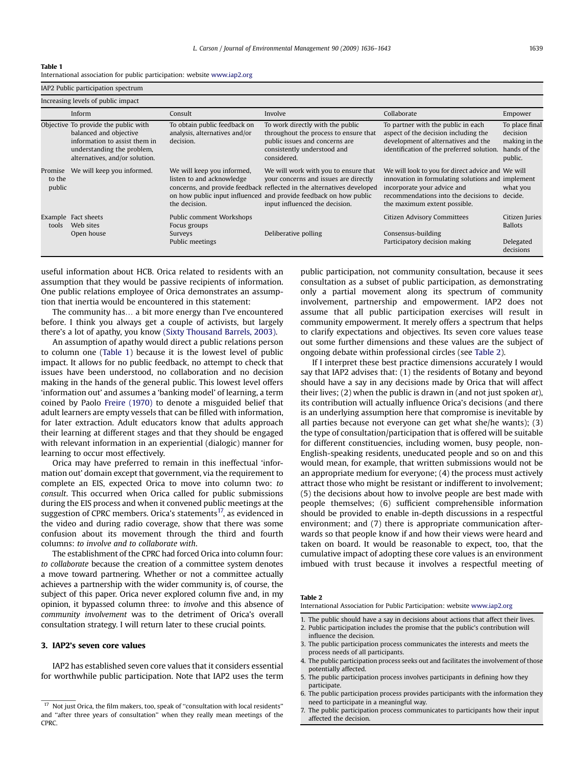#### <span id="page-3-0"></span>Table 1

| International association for public participation: website www.iap2.org |
|--------------------------------------------------------------------------|
|                                                                          |

IAP2 Public participation spectrum Increasing levels of public impact Inform Consult Involve Collaborate Empower Objective To provide the public with balanced and objective information to assist them in understanding the problem, alternatives, and/or solution. To obtain public feedback on analysis, alternatives and/or decision. To work directly with the public throughout the process to ensure that public issues and concerns are consistently understood and considered. To partner with the public in each aspect of the decision including the development of alternatives and the identification of the preferred solution. To place final decision making in the hands of the public. Promise We will keep you informed. to the public We will keep you informed, listen to and acknowledge concerns, and provide feedback reflected in the alternatives developed on how public input influenced and provide feedback on how public the decision. We will work with you to ensure that your concerns and issues are directly input influenced the decision. We will look to you for direct advice and We will innovation in formulating solutions and implement incorporate your advice and recommendations into the decisions to decide. the maximum extent possible. what you Example Fact sheets tools Fact sheets Public comment Workshops Citizen Advisory Committees Citizen Juries Web sites Focus groups Ballots and the Ballots of the Ballots and the Ballots and the Ballots and the Ballots o Open house Surveys Surveys Deliberative polling Consensus-building Consensus-building Public meetings **Participatory decision making** Delegated decisions

useful information about HCB. Orica related to residents with an assumption that they would be passive recipients of information. One public relations employee of Orica demonstrates an assumption that inertia would be encountered in this statement:

The community has. a bit more energy than I've encountered before. I think you always get a couple of activists, but largely there's a lot of apathy, you know [\(Sixty Thousand Barrels, 2003\).](#page-7-0)

An assumption of apathy would direct a public relations person to column one (Table 1) because it is the lowest level of public impact. It allows for no public feedback, no attempt to check that issues have been understood, no collaboration and no decision making in the hands of the general public. This lowest level offers 'information out' and assumes a 'banking model' of learning, a term coined by Paolo [Freire \(1970\)](#page-7-0) to denote a misguided belief that adult learners are empty vessels that can be filled with information, for later extraction. Adult educators know that adults approach their learning at different stages and that they should be engaged with relevant information in an experiential (dialogic) manner for learning to occur most effectively.

Orica may have preferred to remain in this ineffectual 'information out' domain except that government, via the requirement to complete an EIS, expected Orica to move into column two: to consult. This occurred when Orica called for public submissions during the EIS process and when it convened public meetings at the suggestion of CPRC members. Orica's statements<sup>17</sup>, as evidenced in the video and during radio coverage, show that there was some confusion about its movement through the third and fourth columns: to involve and to collaborate with.

The establishment of the CPRC had forced Orica into column four: to collaborate because the creation of a committee system denotes a move toward partnering. Whether or not a committee actually achieves a partnership with the wider community is, of course, the subject of this paper. Orica never explored column five and, in my opinion, it bypassed column three: to involve and this absence of community involvement was to the detriment of Orica's overall consultation strategy. I will return later to these crucial points.

#### 3. IAP2's seven core values

IAP2 has established seven core values that it considers essential for worthwhile public participation. Note that IAP2 uses the term public participation, not community consultation, because it sees consultation as a subset of public participation, as demonstrating only a partial movement along its spectrum of community involvement, partnership and empowerment. IAP2 does not assume that all public participation exercises will result in community empowerment. It merely offers a spectrum that helps to clarify expectations and objectives. Its seven core values tease out some further dimensions and these values are the subject of ongoing debate within professional circles (see Table 2).

If I interpret these best practice dimensions accurately I would say that IAP2 advises that: (1) the residents of Botany and beyond should have a say in any decisions made by Orica that will affect their lives; (2) when the public is drawn in (and not just spoken at), its contribution will actually influence Orica's decisions (and there is an underlying assumption here that compromise is inevitable by all parties because not everyone can get what she/he wants); (3) the type of consultation/participation that is offered will be suitable for different constituencies, including women, busy people, non-English-speaking residents, uneducated people and so on and this would mean, for example, that written submissions would not be an appropriate medium for everyone; (4) the process must actively attract those who might be resistant or indifferent to involvement; (5) the decisions about how to involve people are best made with people themselves; (6) sufficient comprehensible information should be provided to enable in-depth discussions in a respectful environment; and (7) there is appropriate communication afterwards so that people know if and how their views were heard and taken on board. It would be reasonable to expect, too, that the cumulative impact of adopting these core values is an environment imbued with trust because it involves a respectful meeting of

#### Table 2

International Association for Public Participation: website [www.iap2.org](http://www.iap2.org)

- 1. The public should have a say in decisions about actions that affect their lives.
- 2. Public participation includes the promise that the public's contribution will influence the decision.
- 3. The public participation process communicates the interests and meets the process needs of all participants.
- 4. The public participation process seeks out and facilitates the involvement of those potentially affected.
- 5. The public participation process involves participants in defining how they participate.
- 6. The public participation process provides participants with the information they need to participate in a meaningful way.
- 7. The public participation process communicates to participants how their input affected the decision.

 $17$  Not just Orica, the film makers, too, speak of "consultation with local residents" and ''after three years of consultation'' when they really mean meetings of the CPRC.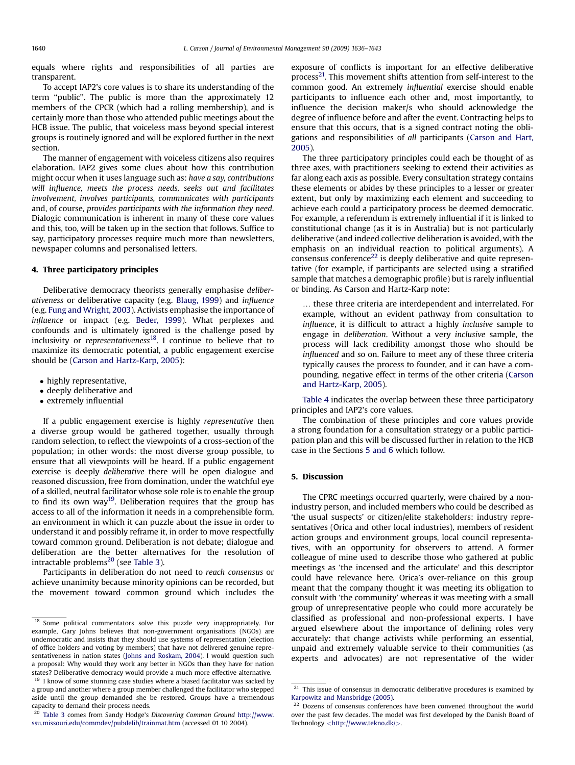equals where rights and responsibilities of all parties are transparent.

To accept IAP2's core values is to share its understanding of the term "public". The public is more than the approximately 12 members of the CPCR (which had a rolling membership), and is certainly more than those who attended public meetings about the HCB issue. The public, that voiceless mass beyond special interest groups is routinely ignored and will be explored further in the next section.

The manner of engagement with voiceless citizens also requires elaboration. IAP2 gives some clues about how this contribution might occur when it uses language such as: have a say, contributions will influence, meets the process needs, seeks out and facilitates involvement, involves participants, communicates with participants and, of course, provides participants with the information they need. Dialogic communication is inherent in many of these core values and this, too, will be taken up in the section that follows. Suffice to say, participatory processes require much more than newsletters, newspaper columns and personalised letters.

#### 4. Three participatory principles

Deliberative democracy theorists generally emphasise deliberativeness or deliberative capacity (e.g. [Blaug, 1999\)](#page-7-0) and influence (e.g. [Fung and Wright, 2003\)](#page-7-0). Activists emphasise the importance of influence or impact (e.g. [Beder, 1999](#page-7-0)). What perplexes and confounds and is ultimately ignored is the challenge posed by inclusivity or representativeness $18$ . I continue to believe that to maximize its democratic potential, a public engagement exercise should be [\(Carson and Hartz-Karp, 2005\)](#page-7-0):

- highly representative,
- deeply deliberative and
- extremely influential

If a public engagement exercise is highly representative then a diverse group would be gathered together, usually through random selection, to reflect the viewpoints of a cross-section of the population; in other words: the most diverse group possible, to ensure that all viewpoints will be heard. If a public engagement exercise is deeply deliberative there will be open dialogue and reasoned discussion, free from domination, under the watchful eye of a skilled, neutral facilitator whose sole role is to enable the group to find its own way<sup>19</sup>. Deliberation requires that the group has access to all of the information it needs in a comprehensible form, an environment in which it can puzzle about the issue in order to understand it and possibly reframe it, in order to move respectfully toward common ground. Deliberation is not debate; dialogue and deliberation are the better alternatives for the resolution of intractable problems $^{20}$  (see [Table 3\)](#page-5-0).

Participants in deliberation do not need to reach consensus or achieve unanimity because minority opinions can be recorded, but the movement toward common ground which includes the

exposure of conflicts is important for an effective deliberative process<sup>21</sup>. This movement shifts attention from self-interest to the common good. An extremely influential exercise should enable participants to influence each other and, most importantly, to influence the decision maker/s who should acknowledge the degree of influence before and after the event. Contracting helps to ensure that this occurs, that is a signed contract noting the obligations and responsibilities of all participants ([Carson and Hart,](#page-7-0) [2005](#page-7-0)).

The three participatory principles could each be thought of as three axes, with practitioners seeking to extend their activities as far along each axis as possible. Every consultation strategy contains these elements or abides by these principles to a lesser or greater extent, but only by maximizing each element and succeeding to achieve each could a participatory process be deemed democratic. For example, a referendum is extremely influential if it is linked to constitutional change (as it is in Australia) but is not particularly deliberative (and indeed collective deliberation is avoided, with the emphasis on an individual reaction to political arguments). A consensus conference<sup>22</sup> is deeply deliberative and quite representative (for example, if participants are selected using a stratified sample that matches a demographic profile) but is rarely influential or binding. As Carson and Hartz-Karp note:

... these three criteria are interdependent and interrelated. For example, without an evident pathway from consultation to influence, it is difficult to attract a highly inclusive sample to engage in deliberation. Without a very inclusive sample, the process will lack credibility amongst those who should be influenced and so on. Failure to meet any of these three criteria typically causes the process to founder, and it can have a compounding, negative effect in terms of the other criteria [\(Carson](#page-7-0) [and Hartz-Karp, 2005\)](#page-7-0).

[Table 4](#page-5-0) indicates the overlap between these three participatory principles and IAP2's core values.

The combination of these principles and core values provide a strong foundation for a consultation strategy or a public participation plan and this will be discussed further in relation to the HCB case in the Sections 5 and 6 which follow.

#### 5. Discussion

The CPRC meetings occurred quarterly, were chaired by a nonindustry person, and included members who could be described as 'the usual suspects' or citizen/elite stakeholders: industry representatives (Orica and other local industries), members of resident action groups and environment groups, local council representatives, with an opportunity for observers to attend. A former colleague of mine used to describe those who gathered at public meetings as 'the incensed and the articulate' and this descriptor could have relevance here. Orica's over-reliance on this group meant that the company thought it was meeting its obligation to consult with 'the community' whereas it was meeting with a small group of unrepresentative people who could more accurately be classified as professional and non-professional experts. I have argued elsewhere about the importance of defining roles very accurately: that change activists while performing an essential, unpaid and extremely valuable service to their communities (as experts and advocates) are not representative of the wider

<sup>&</sup>lt;sup>18</sup> Some political commentators solve this puzzle very inappropriately. For example, Gary Johns believes that non-government organisations (NGOs) are undemocratic and insists that they should use systems of representation (election of office holders and voting by members) that have not delivered genuine representativeness in nation states [\(Johns and Roskam, 2004](#page-7-0)). I would question such a proposal: Why would they work any better in NGOs than they have for nation states? Deliberative democracy would provide a much more effective alternative.

 $19$  I know of some stunning case studies where a biased facilitator was sacked by a group and another where a group member challenged the facilitator who stepped aside until the group demanded she be restored. Groups have a tremendous capacity to demand their process needs.

<sup>&</sup>lt;sup>2</sup> [Table 3](#page-5-0) comes from Sandy Hodge's Discovering Common Ground [http://www.](http://www.ssu.missouri.edu/commdev/pubdelib/trainmat.htm) [ssu.missouri.edu/commdev/pubdelib/trainmat.htm](http://www.ssu.missouri.edu/commdev/pubdelib/trainmat.htm) (accessed 01 10 2004).

 $21$  This issue of consensus in democratic deliberative procedures is examined by [Karpowitz and Mansbridge \(2005\).](#page-7-0)

<sup>&</sup>lt;sup>22</sup> Dozens of consensus conferences have been convened throughout the world over the past few decades. The model was first developed by the Danish Board of Technology <[http://www.tekno.dk/](http://www.tekno.dk/%3E)>.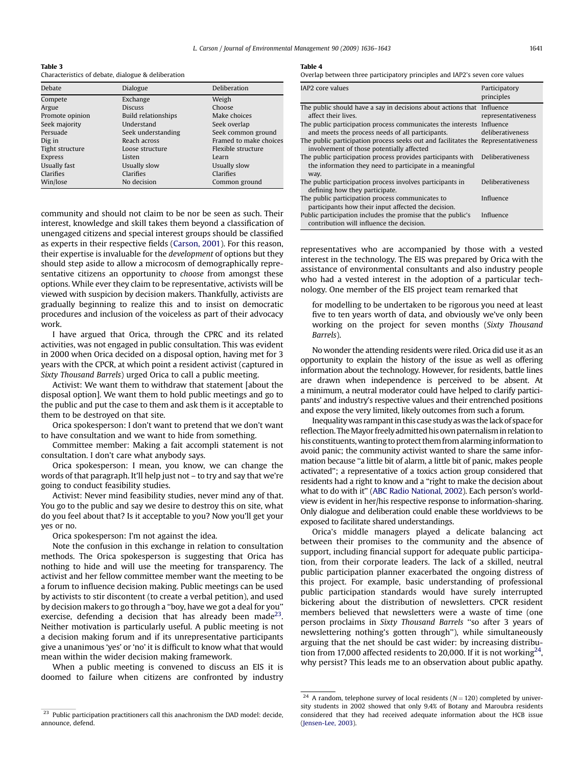L. Carson / Journal of Environmental Management 90 (2009) 1636–1643 1641

<span id="page-5-0"></span>Table 3 Characteristics of debate, dialogue & deliberation

| Dialogue                   | Deliberation           |
|----------------------------|------------------------|
| Exchange                   | Weigh                  |
| <b>Discuss</b>             | Choose                 |
| <b>Build relationships</b> | Make choices           |
| Understand                 | Seek overlap           |
| Seek understanding         | Seek common ground     |
| Reach across               | Framed to make choices |
| Loose structure            | Flexible structure     |
| Listen                     | Learn                  |
| Usually slow               | Usually slow           |
| Clarifies                  | Clarifies              |
| No decision                | Common ground          |
|                            |                        |

community and should not claim to be nor be seen as such. Their interest, knowledge and skill takes them beyond a classification of unengaged citizens and special interest groups should be classified as experts in their respective fields ([Carson, 2001\)](#page-7-0). For this reason, their expertise is invaluable for the development of options but they should step aside to allow a microcosm of demographically representative citizens an opportunity to choose from amongst these options. While ever they claim to be representative, activists will be viewed with suspicion by decision makers. Thankfully, activists are gradually beginning to realize this and to insist on democratic procedures and inclusion of the voiceless as part of their advocacy work.

I have argued that Orica, through the CPRC and its related activities, was not engaged in public consultation. This was evident in 2000 when Orica decided on a disposal option, having met for 3 years with the CPCR, at which point a resident activist (captured in Sixty Thousand Barrels) urged Orica to call a public meeting.

Activist: We want them to withdraw that statement [about the disposal option]. We want them to hold public meetings and go to the public and put the case to them and ask them is it acceptable to them to be destroyed on that site.

Orica spokesperson: I don't want to pretend that we don't want to have consultation and we want to hide from something.

Committee member: Making a fait accompli statement is not consultation. I don't care what anybody says.

Orica spokesperson: I mean, you know, we can change the words of that paragraph. It'll help just not – to try and say that we're going to conduct feasibility studies.

Activist: Never mind feasibility studies, never mind any of that. You go to the public and say we desire to destroy this on site, what do you feel about that? Is it acceptable to you? Now you'll get your yes or no.

Orica spokesperson: I'm not against the idea.

Note the confusion in this exchange in relation to consultation methods. The Orica spokesperson is suggesting that Orica has nothing to hide and will use the meeting for transparency. The activist and her fellow committee member want the meeting to be a forum to influence decision making. Public meetings can be used by activists to stir discontent (to create a verbal petition), and used by decision makers to go through a ''boy, have we got a deal for you'' exercise, defending a decision that has already been made<sup>23</sup>. Neither motivation is particularly useful. A public meeting is not a decision making forum and if its unrepresentative participants give a unanimous 'yes' or 'no' it is difficult to know what that would mean within the wider decision making framework.

When a public meeting is convened to discuss an EIS it is doomed to failure when citizens are confronted by industry

#### Table 4

Overlap between three participatory principles and IAP2's seven core values

| IAP <sub>2</sub> core values                                                                                                    | Participatory<br>principles |
|---------------------------------------------------------------------------------------------------------------------------------|-----------------------------|
| The public should have a say in decisions about actions that Influence<br>affect their lives.                                   | representativeness          |
| The public participation process communicates the interests Influence<br>and meets the process needs of all participants.       | deliberativeness            |
| The public participation process seeks out and facilitates the Representativeness<br>involvement of those potentially affected  |                             |
| The public participation process provides participants with<br>the information they need to participate in a meaningful<br>way. | Deliberativeness            |
| The public participation process involves participants in<br>defining how they participate.                                     | <b>Deliberativeness</b>     |
| The public participation process communicates to<br>participants how their input affected the decision.                         | Influence                   |
| Public participation includes the promise that the public's<br>contribution will influence the decision.                        | Influence                   |

representatives who are accompanied by those with a vested interest in the technology. The EIS was prepared by Orica with the assistance of environmental consultants and also industry people who had a vested interest in the adoption of a particular technology. One member of the EIS project team remarked that

for modelling to be undertaken to be rigorous you need at least five to ten years worth of data, and obviously we've only been working on the project for seven months (Sixty Thousand Barrels).

No wonder the attending residents were riled. Orica did use it as an opportunity to explain the history of the issue as well as offering information about the technology. However, for residents, battle lines are drawn when independence is perceived to be absent. At a minimum, a neutral moderator could have helped to clarify participants' and industry's respective values and their entrenched positions and expose the very limited, likely outcomes from such a forum.

Inequality was rampant in this case study as was the lack of space for reflection. The Mayor freely admitted his own paternalism in relation to his constituents,wanting to protect them from alarminginformation to avoid panic; the community activist wanted to share the same information because ''a little bit of alarm, a little bit of panic, makes people activated''; a representative of a toxics action group considered that residents had a right to know and a ''right to make the decision about what to do with it'' [\(ABC Radio National, 2002](#page-7-0)). Each person's worldview is evident in her/his respective response to information-sharing. Only dialogue and deliberation could enable these worldviews to be exposed to facilitate shared understandings.

Orica's middle managers played a delicate balancing act between their promises to the community and the absence of support, including financial support for adequate public participation, from their corporate leaders. The lack of a skilled, neutral public participation planner exacerbated the ongoing distress of this project. For example, basic understanding of professional public participation standards would have surely interrupted bickering about the distribution of newsletters. CPCR resident members believed that newsletters were a waste of time (one person proclaims in Sixty Thousand Barrels ''so after 3 years of newslettering nothing's gotten through''), while simultaneously arguing that the net should be cast wider: by increasing distribution from 17,000 affected residents to 20,000. If it is not working<sup>24</sup>, why persist? This leads me to an observation about public apathy.

 $^{23}\,$  Public participation practitioners call this anachronism the DAD model: decide, announce, defend.

<sup>&</sup>lt;sup>24</sup> A random, telephone survey of local residents ( $N = 120$ ) completed by university students in 2002 showed that only 9.4% of Botany and Maroubra residents considered that they had received adequate information about the HCB issue ([Jensen-Lee, 2003\)](#page-7-0).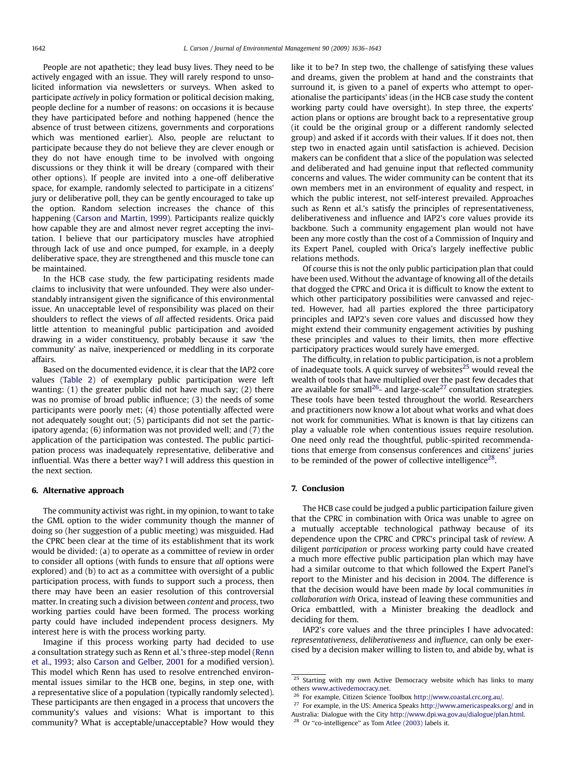People are not apathetic; they lead busy lives. They need to be actively engaged with an issue. They will rarely respond to unsolicited information via newsletters or surveys. When asked to participate actively in policy formation or political decision making, people decline for a number of reasons: on occasions it is because they have participated before and nothing happened (hence the absence of trust between citizens, governments and corporations which was mentioned earlier). Also, people are reluctant to participate because they do not believe they are clever enough or they do not have enough time to be involved with ongoing discussions or they think it will be dreary (compared with their other options). If people are invited into a one-off deliberative space, for example, randomly selected to participate in a citizens' jury or deliberative poll, they can be gently encouraged to take up the option. Random selection increases the chance of this happening [\(Carson and Martin, 1999](#page-7-0)). Participants realize quickly how capable they are and almost never regret accepting the invitation. I believe that our participatory muscles have atrophied through lack of use and once pumped, for example, in a deeply deliberative space, they are strengthened and this muscle tone can be maintained.

In the HCB case study, the few participating residents made claims to inclusivity that were unfounded. They were also understandably intransigent given the significance of this environmental issue. An unacceptable level of responsibility was placed on their shoulders to reflect the views of all affected residents. Orica paid little attention to meaningful public participation and avoided drawing in a wider constituency, probably because it saw 'the community' as naïve, inexperienced or meddling in its corporate affairs.

Based on the documented evidence, it is clear that the IAP2 core values [\(Table 2\)](#page-3-0) of exemplary public participation were left wanting: (1) the greater public did not have much say; (2) there was no promise of broad public influence; (3) the needs of some participants were poorly met; (4) those potentially affected were not adequately sought out; (5) participants did not set the participatory agenda; (6) information was not provided well; and (7) the application of the participation was contested. The public participation process was inadequately representative, deliberative and influential. Was there a better way? I will address this question in the next section.

#### 6. Alternative approach

The community activist was right, in my opinion, to want to take the GML option to the wider community though the manner of doing so (her suggestion of a public meeting) was misguided. Had the CPRC been clear at the time of its establishment that its work would be divided: (a) to operate as a committee of review in order to consider all options (with funds to ensure that all options were explored) and (b) to act as a committee with oversight of a public participation process, with funds to support such a process, then there may have been an easier resolution of this controversial matter. In creating such a division between content and process, two working parties could have been formed. The process working party could have included independent process designers. My interest here is with the process working party.

Imagine if this process working party had decided to use a consultation strategy such as Renn et al.'s three-step model ([Renn](#page-7-0) [et al., 1993](#page-7-0); also [Carson and Gelber, 2001](#page-7-0) for a modified version). This model which Renn has used to resolve entrenched environmental issues similar to the HCB one, begins, in step one, with a representative slice of a population (typically randomly selected). These participants are then engaged in a process that uncovers the community's values and visions: What is important to this community? What is acceptable/unacceptable? How would they like it to be? In step two, the challenge of satisfying these values and dreams, given the problem at hand and the constraints that surround it, is given to a panel of experts who attempt to operationalise the participants' ideas (in the HCB case study the content working party could have oversight). In step three, the experts' action plans or options are brought back to a representative group (it could be the original group or a different randomly selected group) and asked if it accords with their values. If it does not, then step two in enacted again until satisfaction is achieved. Decision makers can be confident that a slice of the population was selected and deliberated and had genuine input that reflected community concerns and values. The wider community can be content that its own members met in an environment of equality and respect, in which the public interest, not self-interest prevailed. Approaches such as Renn et al.'s satisfy the principles of representativeness, deliberativeness and influence and IAP2's core values provide its backbone. Such a community engagement plan would not have been any more costly than the cost of a Commission of Inquiry and its Expert Panel, coupled with Orica's largely ineffective public relations methods.

Of course this is not the only public participation plan that could have been used. Without the advantage of knowing all of the details that dogged the CPRC and Orica it is difficult to know the extent to which other participatory possibilities were canvassed and rejected. However, had all parties explored the three participatory principles and IAP2's seven core values and discussed how they might extend their community engagement activities by pushing these principles and values to their limits, then more effective participatory practices would surely have emerged.

The difficulty, in relation to public participation, is not a problem of inadequate tools. A quick survey of websites<sup>25</sup> would reveal the wealth of tools that have multiplied over the past few decades that are available for small<sup>26</sup>- and large-scale<sup>27</sup> consultation strategies. These tools have been tested throughout the world. Researchers and practitioners now know a lot about what works and what does not work for communities. What is known is that lay citizens can play a valuable role when contentious issues require resolution. One need only read the thoughtful, public-spirited recommendations that emerge from consensus conferences and citizens' juries to be reminded of the power of collective intelligence<sup>28</sup>.

#### 7. Conclusion

The HCB case could be judged a public participation failure given that the CPRC in combination with Orica was unable to agree on a mutually acceptable technological pathway because of its dependence upon the CPRC and CPRC's principal task of review. A diligent participation or process working party could have created a much more effective public participation plan which may have had a similar outcome to that which followed the Expert Panel's report to the Minister and his decision in 2004. The difference is that the decision would have been made by local communities in collaboration with Orica, instead of leaving these communities and Orica embattled, with a Minister breaking the deadlock and deciding for them.

IAP2's core values and the three principles I have advocated: representativeness, deliberativeness and influence, can only be exercised by a decision maker willing to listen to, and abide by, what is

<sup>&</sup>lt;sup>25</sup> Starting with my own Active Democracy website which has links to many others [www.activedemocracy.net](http://www.activedemocracy.net).

<sup>26</sup> For example, Citizen Science Toolbox [http://www.coastal.crc.org.au/](http://www.coastal.crc.org.au).

 $^{27}$  For example, in the US: America Speaks [http://www.americaspeaks.org/](http://www.americaspeaks.org) and in Australia: Dialogue with the City [http://www.dpi.wa.gov.au/dialogue/plan.html.](http://www.dpi.wa.gov.au/dialogue/plan.html)

<sup>&</sup>lt;sup>28</sup> Or "co-intelligence" as Tom [Atlee \(2003\)](#page-7-0) labels it.